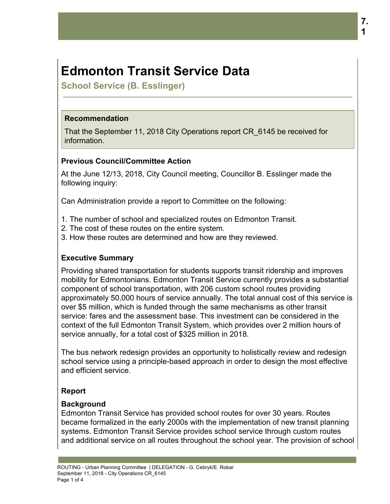# **Edmonton Transit Service Data**

**School Service (B. Esslinger)**

#### **Recommendation**

That the September 11, 2018 City Operations report CR\_6145 be received for information.

## **Previous Council/Committee Action**

At the June 12/13, 2018, City Council meeting, Councillor B. Esslinger made the following inquiry:

Can Administration provide a report to Committee on the following:

- 1. The number of school and specialized routes on Edmonton Transit.
- 2. The cost of these routes on the entire system.
- 3. How these routes are determined and how are they reviewed.

# **Executive Summary**

Providing shared transportation for students supports transit ridership and improves mobility for Edmontonians. Edmonton Transit Service currently provides a substantial component of school transportation, with 206 custom school routes providing approximately 50,000 hours of service annually. The total annual cost of this service is over \$5 million, which is funded through the same mechanisms as other transit service: fares and the assessment base. This investment can be considered in the context of the full Edmonton Transit System, which provides over 2 million hours of service annually, for a total cost of \$325 million in 2018.

The bus network redesign provides an opportunity to holistically review and redesign school service using a principle-based approach in order to design the most effective and efficient service.

# **Report**

### **Background**

Edmonton Transit Service has provided school routes for over 30 years. Routes became formalized in the early 2000s with the implementation of new transit planning systems. Edmonton Transit Service provides school service through custom routes and additional service on all routes throughout the school year. The provision of school

.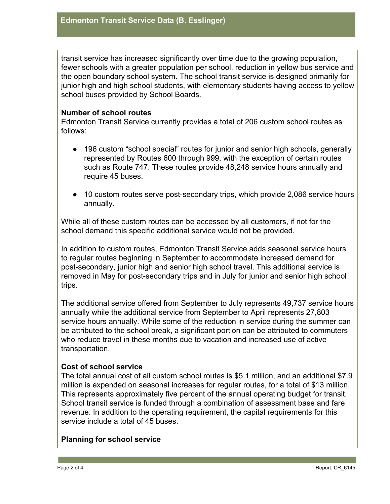transit service has increased significantly over time due to the growing population, fewer schools with a greater population per school, reduction in yellow bus service and the open boundary school system. The school transit service is designed primarily for junior high and high school students, with elementary students having access to yellow school buses provided by School Boards.

#### **Number of school routes**

Edmonton Transit Service currently provides a total of 206 custom school routes as follows:

- 196 custom "school special" routes for junior and senior high schools, generally represented by Routes 600 through 999, with the exception of certain routes such as Route 747. These routes provide 48,248 service hours annually and require 45 buses.
- 10 custom routes serve post-secondary trips, which provide 2,086 service hours annually.

While all of these custom routes can be accessed by all customers, if not for the school demand this specific additional service would not be provided.

In addition to custom routes, Edmonton Transit Service adds seasonal service hours to regular routes beginning in September to accommodate increased demand for post-secondary, junior high and senior high school travel. This additional service is removed in May for post-secondary trips and in July for junior and senior high school trips.

The additional service offered from September to July represents 49,737 service hours annually while the additional service from September to April represents 27,803 service hours annually. While some of the reduction in service during the summer can be attributed to the school break, a significant portion can be attributed to commuters who reduce travel in these months due to vacation and increased use of active transportation.

### **Cost of school service**

The total annual cost of all custom school routes is \$5.1 million, and an additional \$7.9 million is expended on seasonal increases for regular routes, for a total of \$13 million. This represents approximately five percent of the annual operating budget for transit. School transit service is funded through a combination of assessment base and fare revenue. In addition to the operating requirement, the capital requirements for this service include a total of 45 buses.

### **Planning for school service**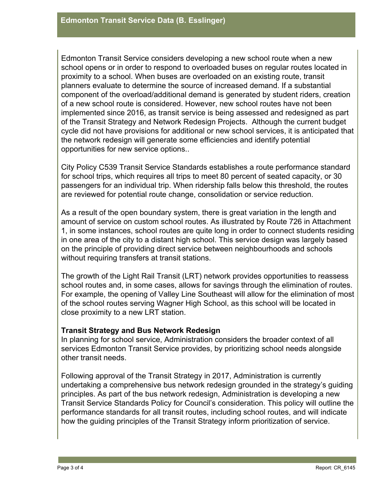Edmonton Transit Service considers developing a new school route when a new school opens or in order to respond to overloaded buses on regular routes located in proximity to a school. When buses are overloaded on an existing route, transit planners evaluate to determine the source of increased demand. If a substantial component of the overload/additional demand is generated by student riders, creation of a new school route is considered. However, new school routes have not been implemented since 2016, as transit service is being assessed and redesigned as part of the Transit Strategy and Network Redesign Projects. Although the current budget cycle did not have provisions for additional or new school services, it is anticipated that the network redesign will generate some efficiencies and identify potential opportunities for new service options..

City Policy C539 Transit Service Standards establishes a route performance standard for school trips, which requires all trips to meet 80 percent of seated capacity, or 30 passengers for an individual trip. When ridership falls below this threshold, the routes are reviewed for potential route change, consolidation or service reduction.

As a result of the open boundary system, there is great variation in the length and amount of service on custom school routes. As illustrated by Route 726 in Attachment 1, in some instances, school routes are quite long in order to connect students residing in one area of the city to a distant high school. This service design was largely based on the principle of providing direct service between neighbourhoods and schools without requiring transfers at transit stations.

The growth of the Light Rail Transit (LRT) network provides opportunities to reassess school routes and, in some cases, allows for savings through the elimination of routes. For example, the opening of Valley Line Southeast will allow for the elimination of most of the school routes serving Wagner High School, as this school will be located in close proximity to a new LRT station.

### **Transit Strategy and Bus Network Redesign**

In planning for school service, Administration considers the broader context of all services Edmonton Transit Service provides, by prioritizing school needs alongside other transit needs.

Following approval of the Transit Strategy in 2017, Administration is currently undertaking a comprehensive bus network redesign grounded in the strategy's guiding principles. As part of the bus network redesign, Administration is developing a new Transit Service Standards Policy for Council's consideration. This policy will outline the performance standards for all transit routes, including school routes, and will indicate how the guiding principles of the Transit Strategy inform prioritization of service.